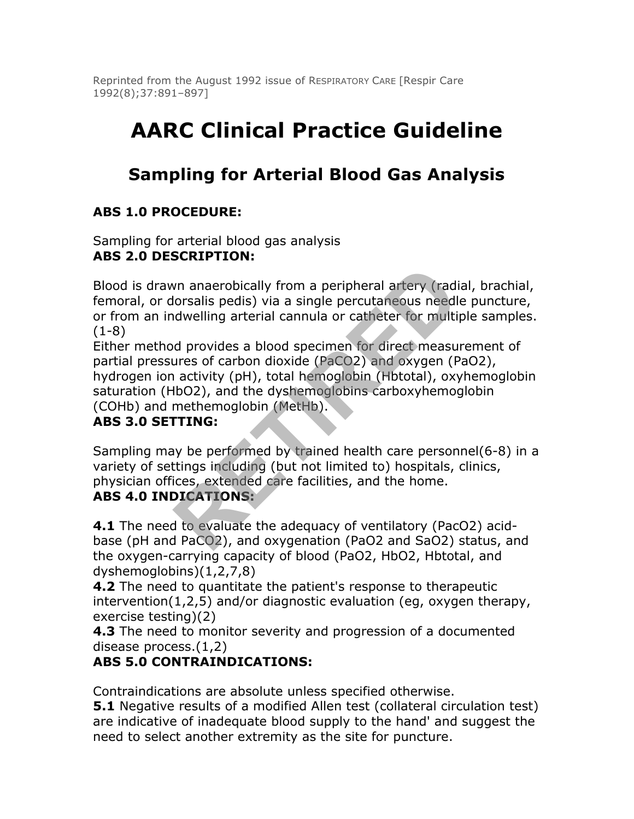Reprinted from the August 1992 issue of RESPIRATORY CARE [Respir Care 1992(8);37:891–897]

# **AARC Clinical Practice Guideline**

# **Sampling for Arterial Blood Gas Analysis**

# **ABS 1.0 PROCEDURE:**

Sampling for arterial blood gas analysis **ABS 2.0 DESCRIPTION:**

Blood is drawn anaerobically from a peripheral artery (radial, brachial, femoral, or dorsalis pedis) via a single percutaneous needle puncture, or from an indwelling arterial cannula or catheter for multiple samples. (1-8)

Either method provides a blood specimen for direct measurement of partial pressures of carbon dioxide (PaCO2) and oxygen (PaO2), hydrogen ion activity (pH), total hemoglobin (Hbtotal), oxyhemoglobin saturation (HbO2), and the dyshemoglobins carboxyhemoglobin (COHb) and methemoglobin (MetHb). or anaerobically from a peripheral artery (radionsalis pedis) via a single percutaneous needlendwelling arterial cannula or catheter for multipled provides a blood specimen for direct measures of carbon dioxide (PaCO2) and

# **ABS 3.0 SETTING:**

Sampling may be performed by trained health care personnel(6-8) in a variety of settings including (but not limited to) hospitals, clinics, physician offices, extended care facilities, and the home.

#### **ABS 4.0 INDICATIONS:**

**4.1** The need to evaluate the adequacy of ventilatory (PacO2) acidbase (pH and PaCO2), and oxygenation (PaO2 and SaO2) status, and the oxygen-carrying capacity of blood (PaO2, HbO2, Hbtotal, and dyshemoglobins)(1,2,7,8)

**4.2** The need to quantitate the patient's response to therapeutic intervention(1,2,5) and/or diagnostic evaluation (eg, oxygen therapy, exercise testing)(2)

**4.3** The need to monitor severity and progression of a documented disease process.(1,2)

# **ABS 5.0 CONTRAINDICATIONS:**

Contraindications are absolute unless specified otherwise.

**5.1** Negative results of a modified Allen test (collateral circulation test) are indicative of inadequate blood supply to the hand' and suggest the need to select another extremity as the site for puncture.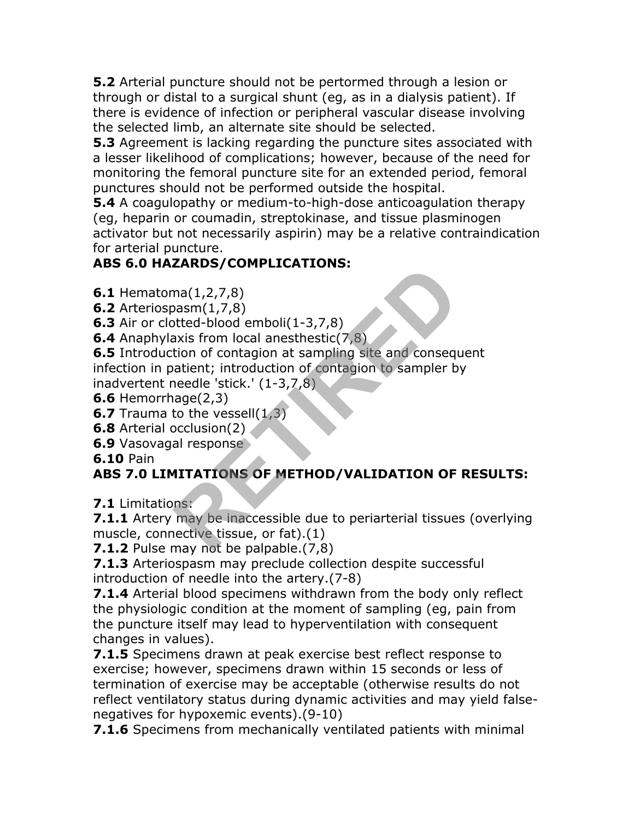**5.2** Arterial puncture should not be pertormed through a lesion or through or distal to a surgical shunt (eg, as in a dialysis patient). If there is evidence of infection or peripheral vascular disease involving the selected limb, an alternate site should be selected.

**5.3** Agreement is lacking regarding the puncture sites associated with a lesser likelihood of complications; however, because of the need for monitoring the femoral puncture site for an extended period, femoral punctures should not be performed outside the hospital.

**5.4** A coagulopathy or medium-to-high-dose anticoagulation therapy (eg, heparin or coumadin, streptokinase, and tissue plasminogen activator but not necessarily aspirin) may be a relative contraindication for arterial puncture.

# **ABS 6.0 HAZARDS/COMPLICATIONS:**

**6.1** Hematoma(1,2,7,8)

**6.2** Arteriospasm(1,7,8)

**6.3** Air or clotted-blood emboli(1-3,7,8)

**6.4** Anaphylaxis from local anesthestic(7,8)

**6.5** Introduction of contagion at sampling site and consequent infection in patient; introduction of contagion to sampler by inadvertent needle 'stick.' (1-3,7,8) EXANDED CONFINITIONS.<br>
ma(1,2,7,8)<br>
basm(1,7,8)<br>
htted-blood emboli(1-3,7,8)<br>
axis from local anesthestic(7,8)<br>
axis from local anesthestic(7,8)<br>
tion of contagion at sampling site and consequent<br>
atient; introduction of c

**6.6** Hemorrhage(2,3)

**6.7** Trauma to the vessell(1,3)

**6.8** Arterial occlusion(2)

**6.9** Vasovagal response

**6.10** Pain

# **ABS 7.0 LIMITATIONS OF METHOD/VALIDATION OF RESULTS:**

**7.1** Limitations:

**7.1.1** Artery may be inaccessible due to periarterial tissues (overlying muscle, connective tissue, or fat).(1)

**7.1.2** Pulse may not be palpable. (7,8)

**7.1.3** Arteriospasm may preclude collection despite successful introduction of needle into the artery.(7-8)

**7.1.4** Arterial blood specimens withdrawn from the body only reflect the physiologic condition at the moment of sampling (eg, pain from the puncture itself may lead to hyperventilation with consequent changes in values).

**7.1.5** Specimens drawn at peak exercise best reflect response to exercise; however, specimens drawn within 15 seconds or less of termination of exercise may be acceptable (otherwise results do not reflect ventilatory status during dynamic activities and may yield falsenegatives for hypoxemic events).(9-10)

**7.1.6** Specimens from mechanically ventilated patients with minimal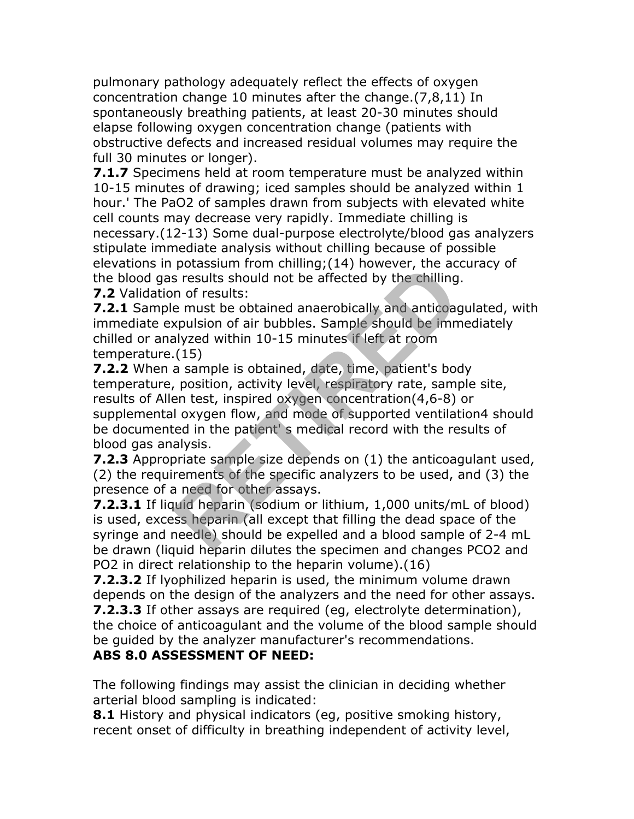pulmonary pathology adequately reflect the effects of oxygen concentration change 10 minutes after the change.(7,8,11) In spontaneously breathing patients, at least 20-30 minutes should elapse following oxygen concentration change (patients with obstructive defects and increased residual volumes may require the full 30 minutes or longer).

**7.1.7** Specimens held at room temperature must be analyzed within 10-15 minutes of drawing; iced samples should be analyzed within 1 hour.' The PaO2 of samples drawn from subjects with elevated white cell counts may decrease very rapidly. Immediate chilling is necessary.(12-13) Some dual-purpose electrolyte/blood gas analyzers stipulate immediate analysis without chilling because of possible elevations in potassium from chilling;(14) however, the accuracy of the blood gas results should not be affected by the chilling.

**7.2** Validation of results:

**7.2.1** Sample must be obtained anaerobically and anticoagulated, with immediate expulsion of air bubbles. Sample should be immediately chilled or analyzed within 10-15 minutes if left at room temperature.(15)

**7.2.2** When a sample is obtained, date, time, patient's body temperature, position, activity level, respiratory rate, sample site, results of Allen test, inspired oxygen concentration(4,6-8) or supplemental oxygen flow, and mode of supported ventilation4 should be documented in the patient' s medical record with the results of blood gas analysis. potassium non chiming, (1+) nowever, the accents is results should not be affected by the chilling<br>in of results:<br>e must be obtained anaerobically and anticoag<br>xpulsion of air bubbles. Sample should be inm<br>alyzed within 10

**7.2.3** Appropriate sample size depends on (1) the anticoagulant used, (2) the requirements of the specific analyzers to be used, and (3) the presence of a need for other assays.

**7.2.3.1** If liquid heparin (sodium or lithium, 1,000 units/mL of blood) is used, excess heparin (all except that filling the dead space of the syringe and needle) should be expelled and a blood sample of 2-4 mL be drawn (liquid heparin dilutes the specimen and changes PCO2 and PO2 in direct relationship to the heparin volume).(16)

**7.2.3.2** If lyophilized heparin is used, the minimum volume drawn depends on the design of the analyzers and the need for other assays. **7.2.3.3** If other assays are required (eg, electrolyte determination), the choice of anticoagulant and the volume of the blood sample should be guided by the analyzer manufacturer's recommendations.

#### **ABS 8.0 ASSESSMENT OF NEED:**

The following findings may assist the clinician in deciding whether arterial blood sampling is indicated:

**8.1** History and physical indicators (eg, positive smoking history, recent onset of difficulty in breathing independent of activity level,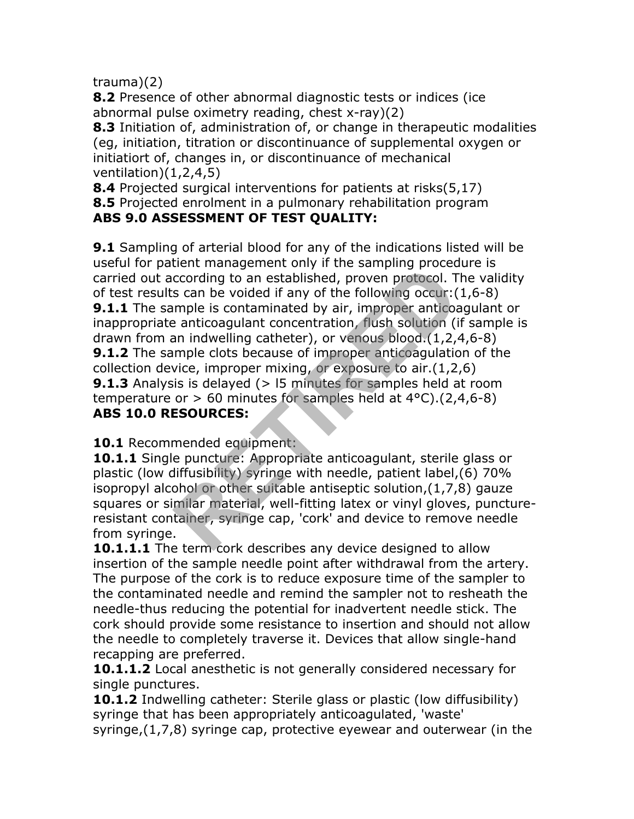trauma)(2)

**8.2** Presence of other abnormal diagnostic tests or indices (ice abnormal pulse oximetry reading, chest x-ray)(2)

**8.3** Initiation of, administration of, or change in therapeutic modalities (eg, initiation, titration or discontinuance of supplemental oxygen or initiatiort of, changes in, or discontinuance of mechanical ventilation)(1,2,4,5)

**8.4** Projected surgical interventions for patients at risks(5,17) **8.5** Projected enrolment in a pulmonary rehabilitation program **ABS 9.0 ASSESSMENT OF TEST QUALITY:**

**9.1** Sampling of arterial blood for any of the indications listed will be useful for patient management only if the sampling procedure is carried out according to an established, proven protocol. The validity of test results can be voided if any of the following occur:(1,6-8) **9.1.1** The sample is contaminated by air, improper anticoagulant or inappropriate anticoagulant concentration, flush solution (if sample is drawn from an indwelling catheter), or venous blood.(1,2,4,6-8) **9.1.2** The sample clots because of improper anticoagulation of the collection device, improper mixing, or exposure to air.(1,2,6) **9.1.3** Analysis is delayed (> 15 minutes for samples held at room temperature or  $> 60$  minutes for samples held at  $4^{\circ}$ C).(2,4,6-8) **ABS 10.0 RESOURCES:** cording to an established, proven protocol. The sampling proced<br>ccording to an established, proven protocol. T<br> **RETIRED** is contaminated by air, improper anticos<br>
an indwelling catheter), or venous blood. (1,2,<sup>2</sup><br>
an ind

**10.1** Recommended equipment:

**10.1.1** Single puncture: Appropriate anticoagulant, sterile glass or plastic (low diffusibility) syringe with needle, patient label,(6) 70% isopropyl alcohol or other suitable antiseptic solution,(1,7,8) gauze squares or similar material, well-fitting latex or vinyl gloves, punctureresistant container, syringe cap, 'cork' and device to remove needle from syringe.

**10.1.1.1** The term cork describes any device designed to allow insertion of the sample needle point after withdrawal from the artery. The purpose of the cork is to reduce exposure time of the sampler to the contaminated needle and remind the sampler not to resheath the needle-thus reducing the potential for inadvertent needle stick. The cork should provide some resistance to insertion and should not allow the needle to completely traverse it. Devices that allow single-hand recapping are preferred.

**10.1.1.2** Local anesthetic is not generally considered necessary for single punctures.

**10.1.2** Indwelling catheter: Sterile glass or plastic (low diffusibility) syringe that has been appropriately anticoagulated, 'waste' syringe,(1,7,8) syringe cap, protective eyewear and outerwear (in the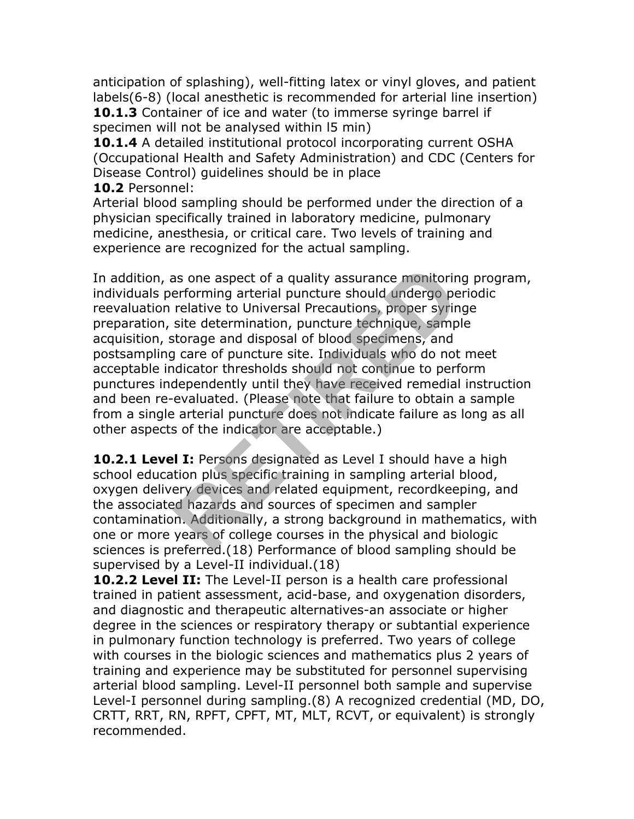anticipation of splashing), well-fitting latex or vinyl gloves, and patient labels(6-8) (local anesthetic is recommended for arterial line insertion) **10.1.3** Container of ice and water (to immerse syringe barrel if specimen will not be analysed within l5 min)

**10.1.4** A detailed institutional protocol incorporating current OSHA (Occupational Health and Safety Administration) and CDC (Centers for Disease Control) guidelines should be in place **10.2** Personnel:

Arterial blood sampling should be performed under the direction of a physician specifically trained in laboratory medicine, pulmonary medicine, anesthesia, or critical care. Two levels of training and experience are recognized for the actual sampling.

In addition, as one aspect of a quality assurance monitoring program, individuals performing arterial puncture should undergo periodic reevaluation relative to Universal Precautions, proper syringe preparation, site determination, puncture technique, sample acquisition, storage and disposal of blood specimens, and postsampling care of puncture site. Individuals who do not meet acceptable indicator thresholds should not continue to perform punctures independently until they have received remedial instruction and been re-evaluated. (Please note that failure to obtain a sample from a single arterial puncture does not indicate failure as long as all other aspects of the indicator are acceptable.) as one aspect of a quality assurance monitorin<br>erforming arterial puncture should undergo pe<br>relative to Universal Precautions, proper syrin<br>site determination, puncture technique, samp<br>storage and disposal of blood specim

**10.2.1 Level I:** Persons designated as Level I should have a high school education plus specific training in sampling arterial blood, oxygen delivery devices and related equipment, recordkeeping, and the associated hazards and sources of specimen and sampler contamination. Additionally, a strong background in mathematics, with one or more years of college courses in the physical and biologic sciences is preferred.(18) Performance of blood sampling should be supervised by a Level-II individual.(18)

**10.2.2 Level II:** The Level-II person is a health care professional trained in patient assessment, acid-base, and oxygenation disorders, and diagnostic and therapeutic alternatives-an associate or higher degree in the sciences or respiratory therapy or subtantial experience in pulmonary function technology is preferred. Two years of college with courses in the biologic sciences and mathematics plus 2 years of training and experience may be substituted for personnel supervising arterial blood sampling. Level-II personnel both sample and supervise Level-I personnel during sampling.(8) A recognized credential (MD, DO, CRTT, RRT, RN, RPFT, CPFT, MT, MLT, RCVT, or equivalent) is strongly recommended.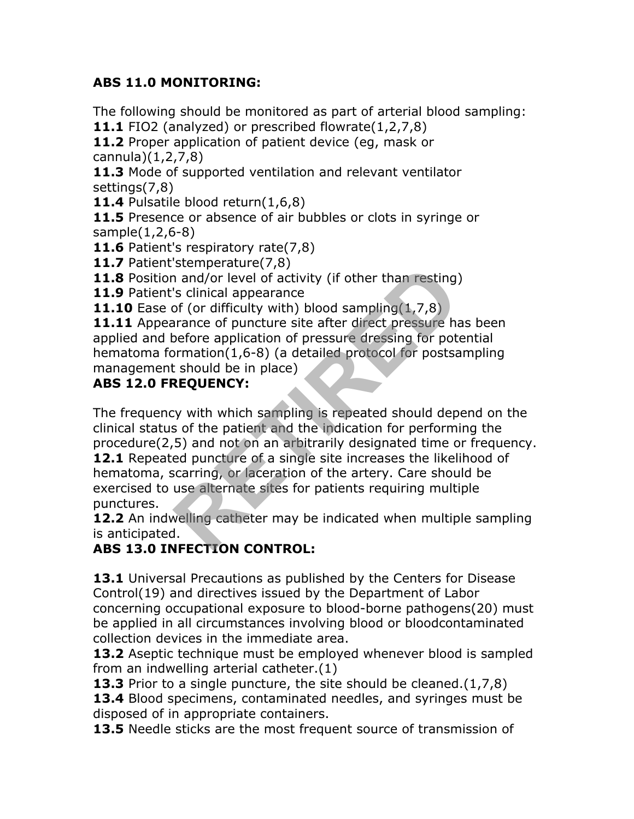#### **ABS 11.0 MONITORING:**

The following should be monitored as part of arterial blood sampling: **11.1** FIO2 (analyzed) or prescribed flowrate(1,2,7,8)

**11.2** Proper application of patient device (eg, mask or cannula)(1,2,7,8)

**11.3** Mode of supported ventilation and relevant ventilator settings(7,8)

**11.4** Pulsatile blood return(1,6,8)

**11.5** Presence or absence of air bubbles or clots in syringe or sample(1,2,6-8)

**11.6** Patient's respiratory rate(7,8)

**11.7** Patient'stemperature(7,8)

**11.8** Position and/or level of activity (if other than resting)

**11.9** Patient's clinical appearance

**11.10** Ease of (or difficulty with) blood sampling(1,7,8)

**11.11** Appearance of puncture site after direct pressure has been applied and before application of pressure dressing for potential hematoma formation(1,6-8) (a detailed protocol for postsampling management should be in place)

#### **ABS 12.0 FREQUENCY:**

The frequency with which sampling is repeated should depend on the clinical status of the patient and the indication for performing the procedure(2,5) and not on an arbitrarily designated time or frequency. **12.1** Repeated puncture of a single site increases the likelihood of hematoma, scarring, or laceration of the artery. Care should be exercised to use alternate sites for patients requiring multiple punctures. scimperature(*x*, *o*)<br>
and/or level of activity (if other than resting)<br>
's clinical appearance<br>
of (or difficulty with) blood sampling (1,7,8)<br>
pefore application of pressure dressing for poto<br>
pefore application of pres

**12.2** An indwelling catheter may be indicated when multiple sampling is anticipated.

# **ABS 13.0 INFECTION CONTROL:**

**13.1** Universal Precautions as published by the Centers for Disease Control(19) and directives issued by the Department of Labor concerning occupational exposure to blood-borne pathogens(20) must be applied in all circumstances involving blood or bloodcontaminated collection devices in the immediate area.

**13.2** Aseptic technique must be employed whenever blood is sampled from an indwelling arterial catheter.(1)

**13.3** Prior to a single puncture, the site should be cleaned.(1,7,8) **13.4** Blood specimens, contaminated needles, and syringes must be disposed of in appropriate containers.

13.5 Needle sticks are the most frequent source of transmission of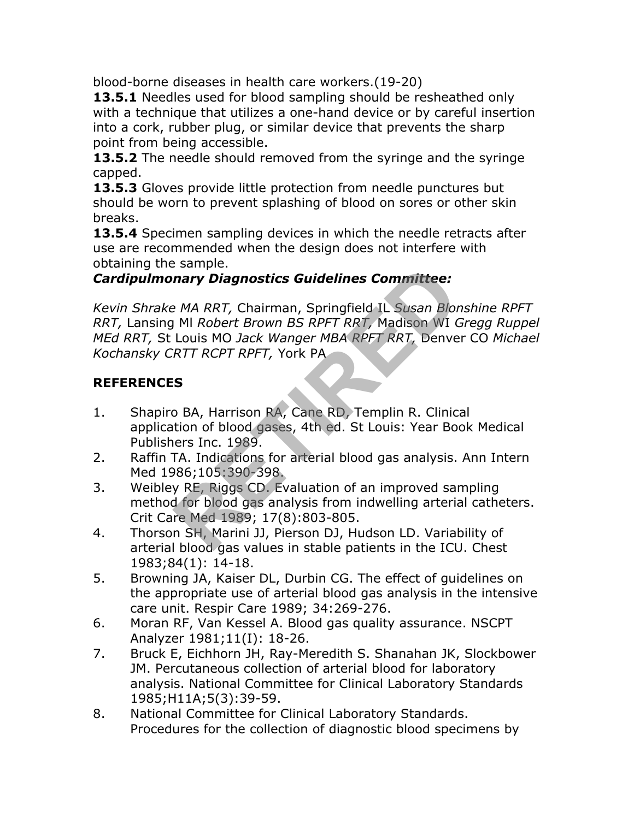blood-borne diseases in health care workers.(19-20)

**13.5.1** Needles used for blood sampling should be resheathed only with a technique that utilizes a one-hand device or by careful insertion into a cork, rubber plug, or similar device that prevents the sharp point from being accessible.

**13.5.2** The needle should removed from the syringe and the syringe capped.

**13.5.3** Gloves provide little protection from needle punctures but should be worn to prevent splashing of blood on sores or other skin breaks.

13.5.4 Specimen sampling devices in which the needle retracts after use are recommended when the design does not interfere with obtaining the sample.

#### *Cardipulmonary Diagnostics Guidelines Committee:*

*Kevin Shrake MA RRT,* Chairman, Springfield IL *Susan Blonshine RPFT RRT,* Lansing Ml *Robert Brown BS RPFT RRT,* Madison WI *Gregg Ruppel MEd RRT,* St Louis MO *Jack Wanger MBA RPFT RRT,* Denver CO *Michael Kochansky CRTT RCPT RPFT,* York PA **Example:**<br> **RETIRED**<br> **RETIRED**<br> **RETIRED**<br> **RETIRED**<br> **RETIRED**<br> **RETIRED**<br> **RETIRED**<br> **RETIRED**<br> **RETIRED**<br> **RETIRED**<br> **RETIRED**<br> **RETIRED**<br> **RETIRED**<br> **RETIRED**<br> **RETIRED**<br> **RETIRED**<br> **RETIRED**<br> **RETIRED**<br> **RETIRED**<br>

#### **REFERENCES**

- 1. Shapiro BA, Harrison RA, Cane RD, Templin R. Clinical application of blood gases, 4th ed. St Louis: Year Book Medical Publishers Inc. 1989.
- 2. Raffin TA. Indications for arterial blood gas analysis. Ann Intern Med 1986;105:390-398.
- 3. Weibley RE, Riggs CD. Evaluation of an improved sampling method for blood gas analysis from indwelling arterial catheters. Crit Care Med 1989; 17(8):803-805.
- 4. Thorson SH, Marini JJ, Pierson DJ, Hudson LD. Variability of arterial blood gas values in stable patients in the ICU. Chest 1983;84(1): 14-18.
- 5. Browning JA, Kaiser DL, Durbin CG. The effect of guidelines on the appropriate use of arterial blood gas analysis in the intensive care unit. Respir Care 1989; 34:269-276.
- 6. Moran RF, Van Kessel A. Blood gas quality assurance. NSCPT Analyzer 1981;11(I): 18-26.
- 7. Bruck E, Eichhorn JH, Ray-Meredith S. Shanahan JK, Slockbower JM. Percutaneous collection of arterial blood for laboratory analysis. National Committee for Clinical Laboratory Standards 1985;H11A;5(3):39-59.
- 8. National Committee for Clinical Laboratory Standards. Procedures for the collection of diagnostic blood specimens by